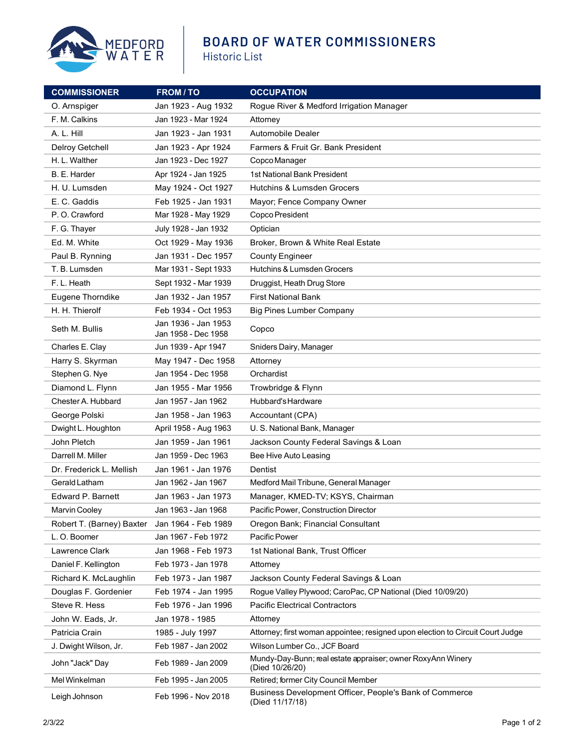

## **BOARD OF WATER COMMISSIONERS**

Historic List

| <b>COMMISSIONER</b>       | <b>FROM/TO</b>                             | <b>OCCUPATION</b>                                                              |
|---------------------------|--------------------------------------------|--------------------------------------------------------------------------------|
| O. Arnspiger              | Jan 1923 - Aug 1932                        | Rogue River & Medford Irrigation Manager                                       |
| F. M. Calkins             | Jan 1923 - Mar 1924                        | Attorney                                                                       |
| A. L. Hill                | Jan 1923 - Jan 1931                        | <b>Automobile Dealer</b>                                                       |
| Delroy Getchell           | Jan 1923 - Apr 1924                        | Farmers & Fruit Gr. Bank President                                             |
| H. L. Walther             | Jan 1923 - Dec 1927                        | Copco Manager                                                                  |
| B. E. Harder              | Apr 1924 - Jan 1925                        | 1st National Bank President                                                    |
| H. U. Lumsden             | May 1924 - Oct 1927                        | Hutchins & Lumsden Grocers                                                     |
| E. C. Gaddis              | Feb 1925 - Jan 1931                        | Mayor; Fence Company Owner                                                     |
| P.O. Crawford             | Mar 1928 - May 1929                        | Copco President                                                                |
| F. G. Thayer              | July 1928 - Jan 1932                       | Optician                                                                       |
| Ed. M. White              | Oct 1929 - May 1936                        | Broker, Brown & White Real Estate                                              |
| Paul B. Rynning           | Jan 1931 - Dec 1957                        | <b>County Engineer</b>                                                         |
| T. B. Lumsden             | Mar 1931 - Sept 1933                       | Hutchins & Lumsden Grocers                                                     |
| F.L. Heath                | Sept 1932 - Mar 1939                       | Druggist, Heath Drug Store                                                     |
| Eugene Thorndike          | Jan 1932 - Jan 1957                        | <b>First National Bank</b>                                                     |
| H. H. Thierolf            | Feb 1934 - Oct 1953                        | <b>Big Pines Lumber Company</b>                                                |
| Seth M. Bullis            | Jan 1936 - Jan 1953<br>Jan 1958 - Dec 1958 | Copco                                                                          |
| Charles E. Clay           | Jun 1939 - Apr 1947                        | Sniders Dairy, Manager                                                         |
| Harry S. Skyrman          | May 1947 - Dec 1958                        | Attorney                                                                       |
| Stephen G. Nye            | Jan 1954 - Dec 1958                        | Orchardist                                                                     |
| Diamond L. Flynn          | Jan 1955 - Mar 1956                        | Trowbridge & Flynn                                                             |
| Chester A. Hubbard        | Jan 1957 - Jan 1962                        | Hubbard's Hardware                                                             |
| George Polski             | Jan 1958 - Jan 1963                        | Accountant (CPA)                                                               |
| Dwight L. Houghton        | April 1958 - Aug 1963                      | U. S. National Bank, Manager                                                   |
| John Pletch               | Jan 1959 - Jan 1961                        | Jackson County Federal Savings & Loan                                          |
| Darrell M. Miller         | Jan 1959 - Dec 1963                        | Bee Hive Auto Leasing                                                          |
| Dr. Frederick L. Mellish  | Jan 1961 - Jan 1976                        | Dentist                                                                        |
| Gerald Latham             | Jan 1962 - Jan 1967                        | Medford Mail Tribune, General Manager                                          |
| Edward P. Barnett         | Jan 1963 - Jan 1973                        | Manager, KMED-TV; KSYS, Chairman                                               |
| Marvin Cooley             | Jan 1963 - Jan 1968                        | Pacific Power, Construction Director                                           |
| Robert T. (Barney) Baxter | Jan 1964 - Feb 1989                        | Oregon Bank; Financial Consultant                                              |
| L.O. Boomer               | Jan 1967 - Feb 1972                        | Pacific Power                                                                  |
| Lawrence Clark            | Jan 1968 - Feb 1973                        | 1st National Bank, Trust Officer                                               |
| Daniel F. Kellington      | Feb 1973 - Jan 1978                        | Attorney                                                                       |
| Richard K. McLaughlin     | Feb 1973 - Jan 1987                        | Jackson County Federal Savings & Loan                                          |
| Douglas F. Gordenier      | Feb 1974 - Jan 1995                        | Rogue Valley Plywood; CaroPac, CP National (Died 10/09/20)                     |
| Steve R. Hess             | Feb 1976 - Jan 1996                        | <b>Pacific Electrical Contractors</b>                                          |
| John W. Eads, Jr.         | Jan 1978 - 1985                            | Attorney                                                                       |
| Patricia Crain            | 1985 - July 1997                           | Attorney; first woman appointee; resigned upon election to Circuit Court Judge |
| J. Dwight Wilson, Jr.     | Feb 1987 - Jan 2002                        | Wilson Lumber Co., JCF Board                                                   |
| John "Jack" Day           | Feb 1989 - Jan 2009                        | Mundy-Day-Bunn; real estate appraiser; owner RoxyAnn Winery<br>(Died 10/26/20) |
| Mel Winkelman             | Feb 1995 - Jan 2005                        | Retired; former City Council Member                                            |
| Leigh Johnson             | Feb 1996 - Nov 2018                        | Business Development Officer, People's Bank of Commerce<br>(Died 11/17/18)     |